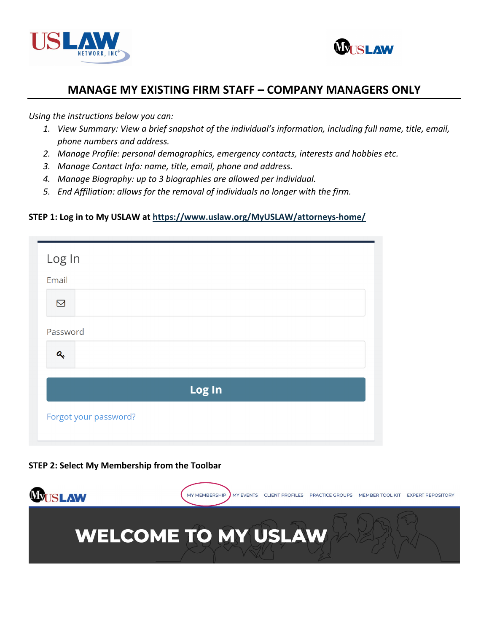



*Using the instructions below you can:* 

- *1. View Summary: View a brief snapshot of the individual's information, including full name, title, email, phone numbers and address.*
- *2. Manage Profile: personal demographics, emergency contacts, interests and hobbies etc.*
- *3. Manage Contact Info: name, title, email, phone and address.*
- *4. Manage Biography: up to 3 biographies are allowed per individual.*
- *5. End Affiliation: allows for the removal of individuals no longer with the firm.*

#### **STEP 1: Log in to My USLAW at [https://www.uslaw.org/MyUSLAW/attorneys-home/](https://www.uslaw.org/myuslaw/attorneys-home/)**

| Log In                |  |  |
|-----------------------|--|--|
| Email                 |  |  |
| $\boxtimes$           |  |  |
| Password              |  |  |
| $\mathbf{a}_{k}$      |  |  |
| Log In                |  |  |
| Forgot your password? |  |  |



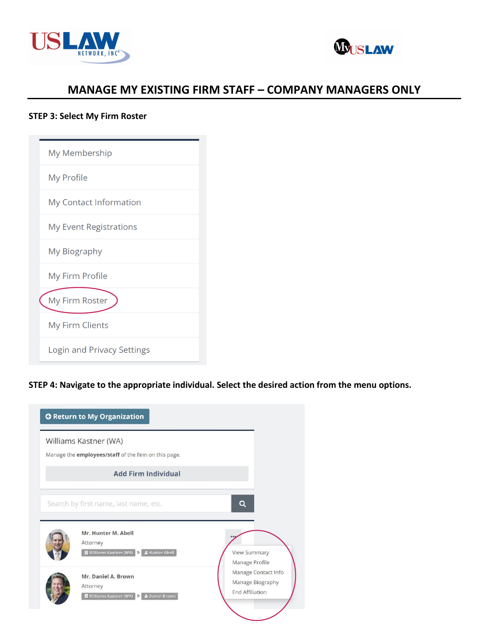



#### **STEP 3: Select My Firm Roster**

| My Membership                 |
|-------------------------------|
| My Profile                    |
| My Contact Information        |
| <b>My Event Registrations</b> |
| My Biography                  |
| My Firm Profile               |
| My Firm Roster                |
| <b>My Firm Clients</b>        |
| Login and Privacy Settings    |

#### **STEP 4: Navigate to the appropriate individual. Select the desired action from the menu options.**

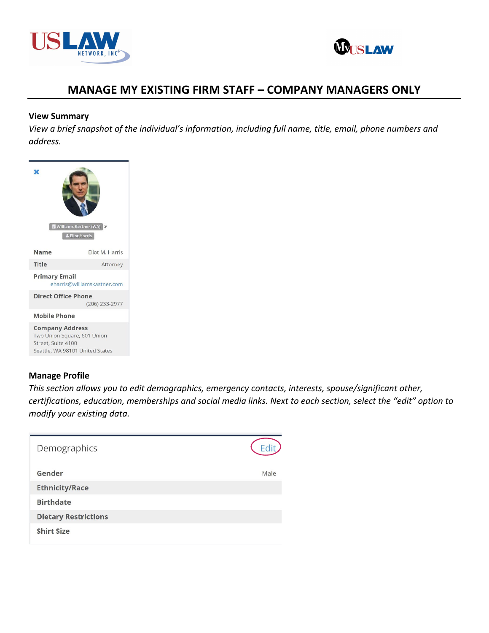



#### **View Summary**

*View a brief snapshot of the individual's information, including full name, title, email, phone numbers and address.*

|                                                                             | Williams Kastner (WA)<br><b>&amp; Eliot Harris</b> |  |
|-----------------------------------------------------------------------------|----------------------------------------------------|--|
| <b>Name</b>                                                                 | Eliot M. Harris                                    |  |
| Title                                                                       | Attorney                                           |  |
| <b>Primary Email</b><br>eharris@williamskastner.com                         |                                                    |  |
| <b>Direct Office Phone</b><br>(206) 233-2977                                |                                                    |  |
| <b>Mobile Phone</b>                                                         |                                                    |  |
| <b>Company Address</b><br>Two Union Square, 601 Union<br>Street, Suite 4100 | Seattle, WA 98101 United States                    |  |

#### **Manage Profile**

*This section allows you to edit demographics, emergency contacts, interests, spouse/significant other, certifications, education, memberships and social media links. Next to each section, select the "edit" option to modify your existing data.*

| Demographics                |      |
|-----------------------------|------|
| Gender                      | Male |
| <b>Ethnicity/Race</b>       |      |
| <b>Birthdate</b>            |      |
| <b>Dietary Restrictions</b> |      |
| <b>Shirt Size</b>           |      |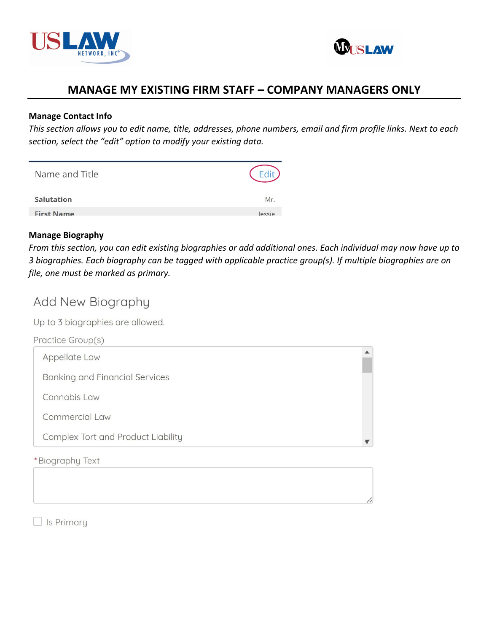



#### **Manage Contact Info**

*This section allows you to edit name, title, addresses, phone numbers, email and firm profile links. Next to each section, select the "edit" option to modify your existing data.*

| Name and Title    |        |
|-------------------|--------|
| <b>Salutation</b> | Mr.    |
| <b>First Name</b> | lessie |

#### **Manage Biography**

*From this section, you can edit existing biographies or add additional ones. Each individual may now have up to 3 biographies. Each biography can be tagged with applicable practice group(s). If multiple biographies are on file, one must be marked as primary.*

# Add New Biography

Up to 3 biographies are allowed.

| Practice Group(s)                     |  |
|---------------------------------------|--|
| Appellate Law                         |  |
| <b>Banking and Financial Services</b> |  |
| Cannabis Law                          |  |
| Commercial Law                        |  |
| Complex Tort and Product Liability    |  |
| *Biography Text                       |  |

 $\Box$  Is Primary